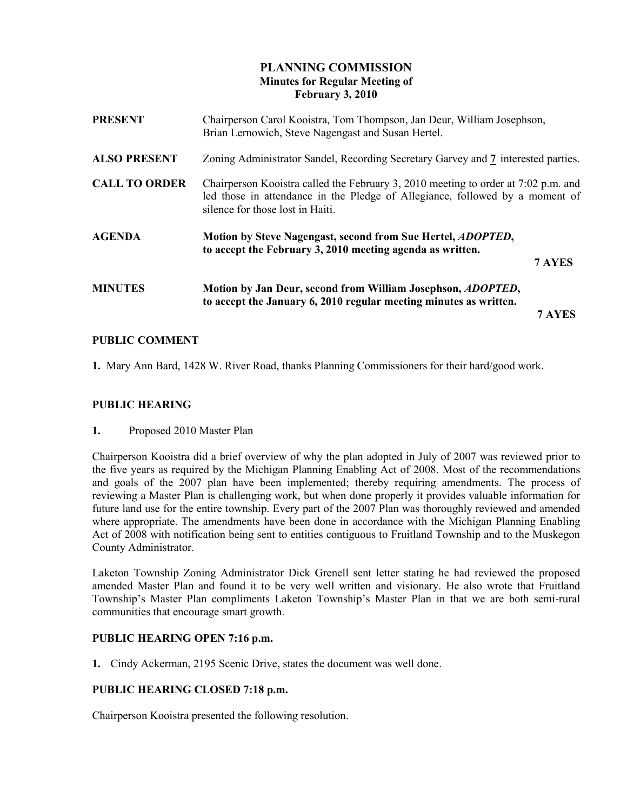# PLANNING COMMISSION Minutes for Regular Meeting of February 3, 2010

| <b>PRESENT</b>       | Chairperson Carol Kooistra, Tom Thompson, Jan Deur, William Josephson,<br>Brian Lernowich, Steve Nagengast and Susan Hertel.                                                                           |        |
|----------------------|--------------------------------------------------------------------------------------------------------------------------------------------------------------------------------------------------------|--------|
| <b>ALSO PRESENT</b>  | Zoning Administrator Sandel, Recording Secretary Garvey and 7 interested parties.                                                                                                                      |        |
| <b>CALL TO ORDER</b> | Chairperson Kooistra called the February 3, 2010 meeting to order at 7:02 p.m. and<br>led those in attendance in the Pledge of Allegiance, followed by a moment of<br>silence for those lost in Haiti. |        |
| <b>AGENDA</b>        | Motion by Steve Nagengast, second from Sue Hertel, <i>ADOPTED</i> ,<br>to accept the February 3, 2010 meeting agenda as written.                                                                       | 7 AYES |
| <b>MINUTES</b>       | Motion by Jan Deur, second from William Josephson, <i>ADOPTED</i> ,<br>to accept the January 6, 2010 regular meeting minutes as written.                                                               |        |
|                      |                                                                                                                                                                                                        | 7 AYES |

## PUBLIC COMMENT

1. Mary Ann Bard, 1428 W. River Road, thanks Planning Commissioners for their hard/good work.

#### PUBLIC HEARING

#### 1. Proposed 2010 Master Plan

Chairperson Kooistra did a brief overview of why the plan adopted in July of 2007 was reviewed prior to the five years as required by the Michigan Planning Enabling Act of 2008. Most of the recommendations and goals of the 2007 plan have been implemented; thereby requiring amendments. The process of reviewing a Master Plan is challenging work, but when done properly it provides valuable information for future land use for the entire township. Every part of the 2007 Plan was thoroughly reviewed and amended where appropriate. The amendments have been done in accordance with the Michigan Planning Enabling Act of 2008 with notification being sent to entities contiguous to Fruitland Township and to the Muskegon County Administrator.

Laketon Township Zoning Administrator Dick Grenell sent letter stating he had reviewed the proposed amended Master Plan and found it to be very well written and visionary. He also wrote that Fruitland Township's Master Plan compliments Laketon Township's Master Plan in that we are both semi-rural communities that encourage smart growth.

#### PUBLIC HEARING OPEN 7:16 p.m.

1. Cindy Ackerman, 2195 Scenic Drive, states the document was well done.

#### PUBLIC HEARING CLOSED 7:18 p.m.

Chairperson Kooistra presented the following resolution.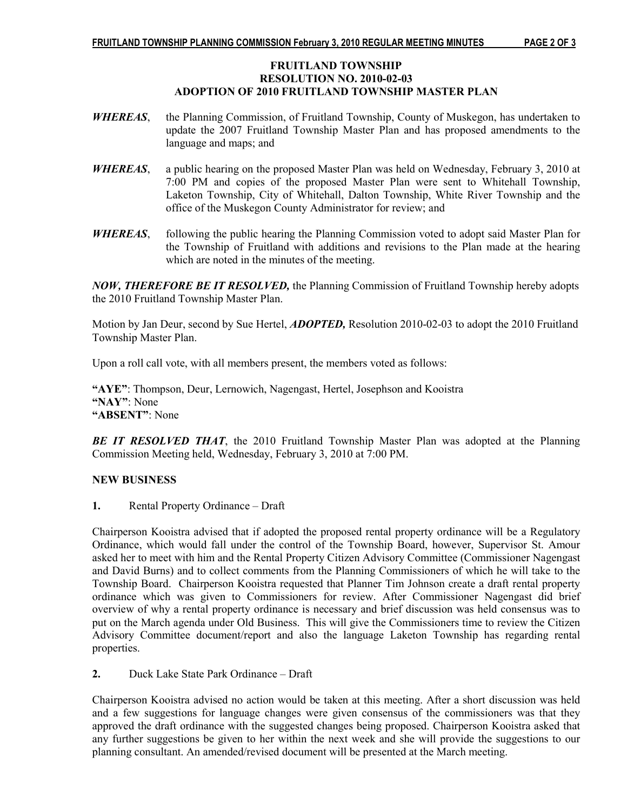#### FRUITLAND TOWNSHIP RESOLUTION NO. 2010-02-03 ADOPTION OF 2010 FRUITLAND TOWNSHIP MASTER PLAN

- WHEREAS, the Planning Commission, of Fruitland Township, County of Muskegon, has undertaken to update the 2007 Fruitland Township Master Plan and has proposed amendments to the language and maps; and
- WHEREAS, a public hearing on the proposed Master Plan was held on Wednesday, February 3, 2010 at 7:00 PM and copies of the proposed Master Plan were sent to Whitehall Township, Laketon Township, City of Whitehall, Dalton Township, White River Township and the office of the Muskegon County Administrator for review; and
- WHEREAS, following the public hearing the Planning Commission voted to adopt said Master Plan for the Township of Fruitland with additions and revisions to the Plan made at the hearing which are noted in the minutes of the meeting.

NOW, THEREFORE BE IT RESOLVED, the Planning Commission of Fruitland Township hereby adopts the 2010 Fruitland Township Master Plan.

Motion by Jan Deur, second by Sue Hertel, **ADOPTED**, Resolution 2010-02-03 to adopt the 2010 Fruitland Township Master Plan.

Upon a roll call vote, with all members present, the members voted as follows:

"AYE": Thompson, Deur, Lernowich, Nagengast, Hertel, Josephson and Kooistra "NAY": None "ABSENT": None

**BE IT RESOLVED THAT,** the 2010 Fruitland Township Master Plan was adopted at the Planning Commission Meeting held, Wednesday, February 3, 2010 at 7:00 PM.

#### NEW BUSINESS

1. Rental Property Ordinance – Draft

Chairperson Kooistra advised that if adopted the proposed rental property ordinance will be a Regulatory Ordinance, which would fall under the control of the Township Board, however, Supervisor St. Amour asked her to meet with him and the Rental Property Citizen Advisory Committee (Commissioner Nagengast and David Burns) and to collect comments from the Planning Commissioners of which he will take to the Township Board. Chairperson Kooistra requested that Planner Tim Johnson create a draft rental property ordinance which was given to Commissioners for review. After Commissioner Nagengast did brief overview of why a rental property ordinance is necessary and brief discussion was held consensus was to put on the March agenda under Old Business. This will give the Commissioners time to review the Citizen Advisory Committee document/report and also the language Laketon Township has regarding rental properties.

2. Duck Lake State Park Ordinance – Draft

Chairperson Kooistra advised no action would be taken at this meeting. After a short discussion was held and a few suggestions for language changes were given consensus of the commissioners was that they approved the draft ordinance with the suggested changes being proposed. Chairperson Kooistra asked that any further suggestions be given to her within the next week and she will provide the suggestions to our planning consultant. An amended/revised document will be presented at the March meeting.